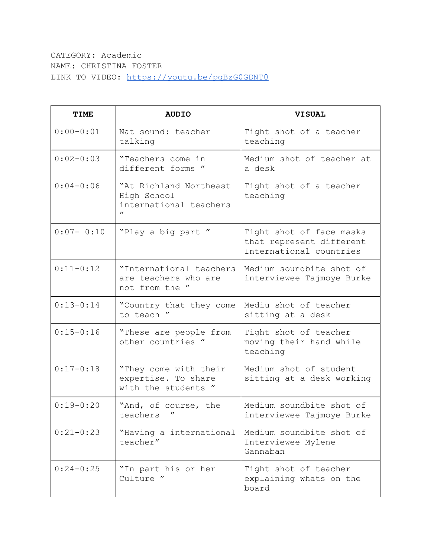CATEGORY: Academic NAME: CHRISTINA FOSTER LINK TO VIDEO: <https://youtu.be/pqBzG0GDNT0>

| <b>TIME</b>   | <b>AUDIO</b>                                                                | <b>VISUAL</b>                                                                   |
|---------------|-----------------------------------------------------------------------------|---------------------------------------------------------------------------------|
| $0:00 - 0:01$ | Nat sound: teacher<br>talking                                               | Tight shot of a teacher<br>teaching                                             |
| $0:02-0:03$   | "Teachers come in<br>different forms "                                      | Medium shot of teacher at<br>a desk                                             |
| $0:04-0:06$   | "At Richland Northeast<br>High School<br>international teachers<br>$\prime$ | Tight shot of a teacher<br>teaching                                             |
| $0:07 - 0:10$ | "Play a big part"                                                           | Tight shot of face masks<br>that represent different<br>International countries |
| $0:11-0:12$   | "International teachers<br>are teachers who are<br>not from the "           | Medium soundbite shot of<br>interviewee Tajmoye Burke                           |
| $0:13-0:14$   | "Country that they come<br>to teach "                                       | Mediu shot of teacher<br>sitting at a desk                                      |
| $0:15 - 0:16$ | "These are people from<br>other countries "                                 | Tight shot of teacher<br>moving their hand while<br>teaching                    |
| $0:17 - 0:18$ | "They come with their<br>expertise. To share<br>with the students "         | Medium shot of student<br>sitting at a desk working                             |
| $0:19-0:20$   | "And, of course, the<br>teachers                                            | Medium soundbite shot of<br>interviewee Tajmoye Burke                           |
| $0:21 - 0:23$ | "Having a international<br>teacher"                                         | Medium soundbite shot of<br>Interviewee Mylene<br>Gannaban                      |
| $0:24-0:25$   | "In part his or her<br>Culture "                                            | Tight shot of teacher<br>explaining whats on the<br>board                       |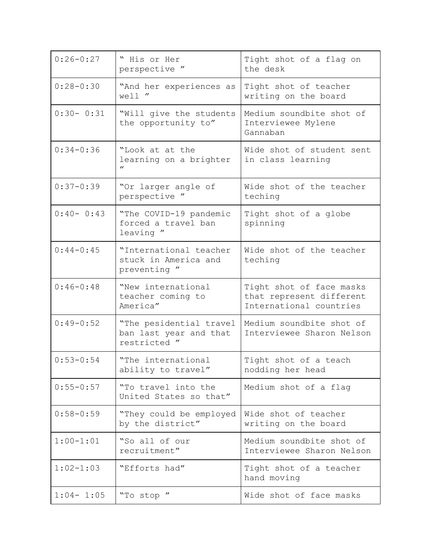| $0:26 - 0:27$ | " His or Her<br>perspective "                                     | Tight shot of a flag on<br>the desk                                             |
|---------------|-------------------------------------------------------------------|---------------------------------------------------------------------------------|
| $0:28 - 0:30$ | "And her experiences as<br>well "                                 | Tight shot of teacher<br>writing on the board                                   |
| $0:30 - 0:31$ | "Will give the students<br>the opportunity to"                    | Medium soundbite shot of<br>Interviewee Mylene<br>Gannaban                      |
| $0:34 - 0:36$ | "Look at at the<br>learning on a brighter<br>$^{\prime\prime}$    | Wide shot of student sent<br>in class learning                                  |
| $0:37 - 0:39$ | "Or larger angle of<br>perspective "                              | Wide shot of the teacher<br>teching                                             |
| $0:40 - 0:43$ | "The COVID-19 pandemic<br>forced a travel ban<br>leaving "        | Tight shot of a globe<br>spinning                                               |
| $0:44 - 0:45$ | "International teacher<br>stuck in America and<br>preventing "    | Wide shot of the teacher<br>teching                                             |
| $0:46-0:48$   | "New international<br>teacher coming to<br>America"               | Tight shot of face masks<br>that represent different<br>International countries |
| $0:49-0:52$   | "The pesidential travel<br>ban last year and that<br>restricted " | Medium soundbite shot of<br>Interviewee Sharon Nelson                           |
| $0:53 - 0:54$ | "The international<br>ability to travel"                          | Tight shot of a teach<br>nodding her head                                       |
| $0:55 - 0:57$ | "To travel into the<br>United States so that"                     | Medium shot of a flag                                                           |
| $0:58 - 0:59$ | "They could be employed"<br>by the district"                      | Wide shot of teacher<br>writing on the board                                    |
| $1:00-1:01$   | "So all of our<br>recruitment"                                    | Medium soundbite shot of<br>Interviewee Sharon Nelson                           |
| $1:02 - 1:03$ | "Efforts had"                                                     | Tight shot of a teacher<br>hand moving                                          |
| $1:04-1:05$   | "To stop "                                                        | Wide shot of face masks                                                         |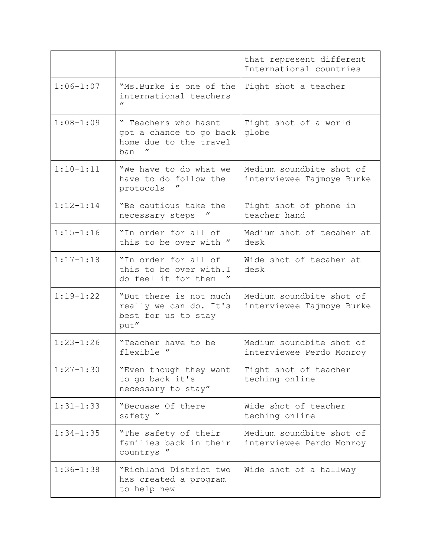|               |                                                                                   | that represent different<br>International countries   |
|---------------|-----------------------------------------------------------------------------------|-------------------------------------------------------|
| $1:06 - 1:07$ | "Ms. Burke is one of the<br>international teachers<br>$^{\prime\prime}$           | Tight shot a teacher                                  |
| $1:08 - 1:09$ | " Teachers who hasnt<br>got a chance to go back<br>home due to the travel<br>ban  | Tight shot of a world<br>globe                        |
| $1:10 - 1:11$ | "We have to do what we<br>have to do follow the<br>$^{\prime\prime}$<br>protocols | Medium soundbite shot of<br>interviewee Tajmoye Burke |
| $1:12 - 1:14$ | "Be cautious take the<br>necessary steps                                          | Tight shot of phone in<br>teacher hand                |
| $1:15 - 1:16$ | "In order for all of<br>this to be over with "                                    | Medium shot of tecaher at<br>desk                     |
| $1:17 - 1:18$ | "In order for all of<br>this to be over with. I<br>do feel it for them            | Wide shot of tecaher at<br>desk                       |
| $1:19-1:22$   | "But there is not much<br>really we can do. It's<br>best for us to stay<br>put"   | Medium soundbite shot of<br>interviewee Tajmoye Burke |
| $1:23 - 1:26$ | "Teacher have to be<br>flexible "                                                 | Medium soundbite shot of<br>interviewee Perdo Monroy  |
| $1:27 - 1:30$ | "Even though they want<br>to go back it's<br>necessary to stay"                   | Tight shot of teacher<br>teching online               |
| $1:31 - 1:33$ | "Becuase Of there<br>safety "                                                     | Wide shot of teacher<br>teching online                |
| $1:34 - 1:35$ | "The safety of their<br>families back in their<br>countrys "                      | Medium soundbite shot of<br>interviewee Perdo Monroy  |
| $1:36 - 1:38$ | "Richland District two<br>has created a program<br>to help new                    | Wide shot of a hallway                                |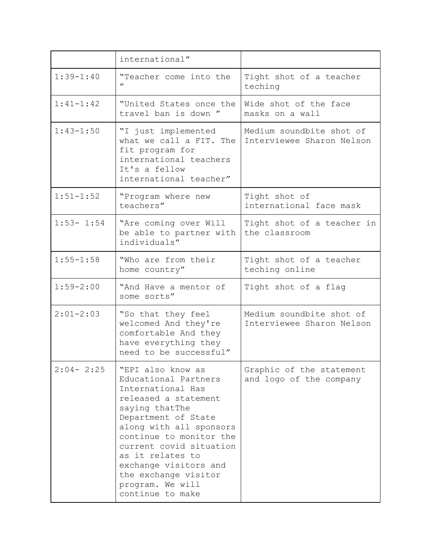|               | international"                                                                                                                                                                                                                                                                                                                |                                                       |
|---------------|-------------------------------------------------------------------------------------------------------------------------------------------------------------------------------------------------------------------------------------------------------------------------------------------------------------------------------|-------------------------------------------------------|
| $1:39 - 1:40$ | "Teacher come into the<br>$^{\prime\prime}$                                                                                                                                                                                                                                                                                   | Tight shot of a teacher<br>teching                    |
| $1:41 - 1:42$ | "United States once the<br>travel ban is down "                                                                                                                                                                                                                                                                               | Wide shot of the face<br>masks on a wall              |
| $1:43 - 1:50$ | "I just implemented<br>what we call a FIT. The<br>fit program for<br>international teachers<br>It's a fellow<br>international teacher"                                                                                                                                                                                        | Medium soundbite shot of<br>Interviewee Sharon Nelson |
| $1:51 - 1:52$ | "Program where new<br>teachers"                                                                                                                                                                                                                                                                                               | Tight shot of<br>international face mask              |
| $1:53 - 1:54$ | "Are coming over Will<br>be able to partner with<br>individuals"                                                                                                                                                                                                                                                              | Tight shot of a teacher in<br>the classroom           |
| $1:55 - 1:58$ | "Who are from their<br>home country"                                                                                                                                                                                                                                                                                          | Tight shot of a teacher<br>teching online             |
| $1:59 - 2:00$ | "And Have a mentor of<br>some sorts"                                                                                                                                                                                                                                                                                          | Tight shot of a flag                                  |
| $2:01 - 2:03$ | "So that they feel<br>welcomed And they're<br>comfortable And they<br>have everything they<br>need to be successful"                                                                                                                                                                                                          | Medium soundbite shot of<br>Interviewee Sharon Nelson |
| $2:04 - 2:25$ | "EPI also know as<br>Educational Partners<br>International Has<br>released a statement<br>saying thatThe<br>Department of State<br>along with all sponsors<br>continue to monitor the<br>current covid situation<br>as it relates to<br>exchange visitors and<br>the exchange visitor<br>program. We will<br>continue to make | Graphic of the statement<br>and logo of the company   |